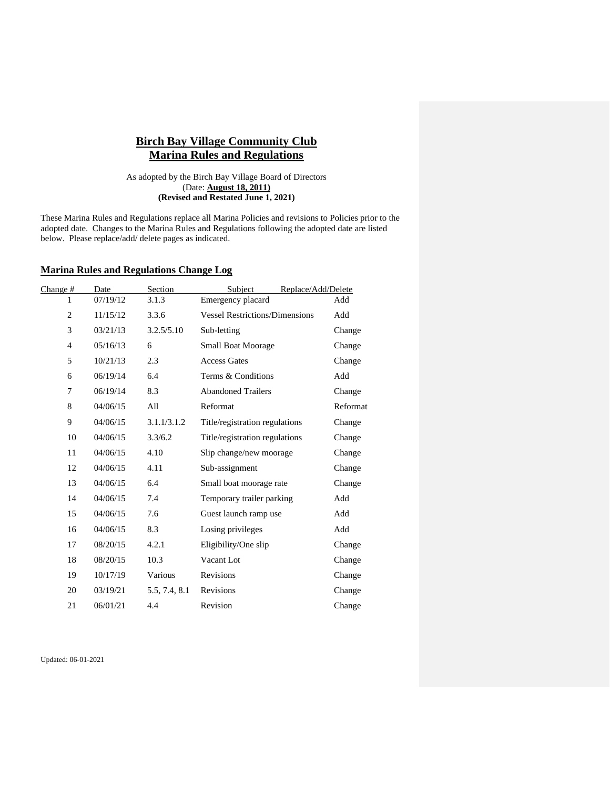# **Birch Bay Village Community Club Marina Rules and Regulations**

As adopted by the Birch Bay Village Board of Directors (Date: **August 18, 2011) (Revised and Restated June 1, 2021)**

These Marina Rules and Regulations replace all Marina Policies and revisions to Policies prior to the adopted date. Changes to the Marina Rules and Regulations following the adopted date are listed below. Please replace/add/ delete pages as indicated.

## **Marina Rules and Regulations Change Log**

| Change #       | Date     | Section       | Subject<br>Replace/Add/Delete         |          |
|----------------|----------|---------------|---------------------------------------|----------|
| 1              | 07/19/12 | 3.1.3         | Emergency placard                     | Add      |
| $\overline{2}$ | 11/15/12 | 3.3.6         | <b>Vessel Restrictions/Dimensions</b> | Add      |
| 3              | 03/21/13 | 3.2.5/5.10    | Sub-letting                           | Change   |
| $\overline{4}$ | 05/16/13 | 6             | <b>Small Boat Moorage</b>             | Change   |
| 5              | 10/21/13 | 2.3           | <b>Access Gates</b>                   | Change   |
| 6              | 06/19/14 | 6.4           | Terms & Conditions                    | Add      |
| $\tau$         | 06/19/14 | 8.3           | <b>Abandoned Trailers</b>             | Change   |
| 8              | 04/06/15 | All           | Reformat                              | Reformat |
| 9              | 04/06/15 | 3.1.1/3.1.2   | Title/registration regulations        | Change   |
| 10             | 04/06/15 | 3.3/6.2       | Title/registration regulations        | Change   |
| 11             | 04/06/15 | 4.10          | Slip change/new moorage               | Change   |
| 12             | 04/06/15 | 4.11          | Sub-assignment                        | Change   |
| 13             | 04/06/15 | 6.4           | Small boat moorage rate               | Change   |
| 14             | 04/06/15 | 7.4           | Temporary trailer parking             | Add      |
| 15             | 04/06/15 | 7.6           | Guest launch ramp use                 | Add      |
| 16             | 04/06/15 | 8.3           | Losing privileges                     | Add      |
| 17             | 08/20/15 | 4.2.1         | Eligibility/One slip                  | Change   |
| 18             | 08/20/15 | 10.3          | Vacant Lot                            | Change   |
| 19             | 10/17/19 | Various       | Revisions                             | Change   |
| 20             | 03/19/21 | 5.5, 7.4, 8.1 | Revisions                             | Change   |
| 21             | 06/01/21 | 4.4           | Revision                              | Change   |

Updated: 06-01-2021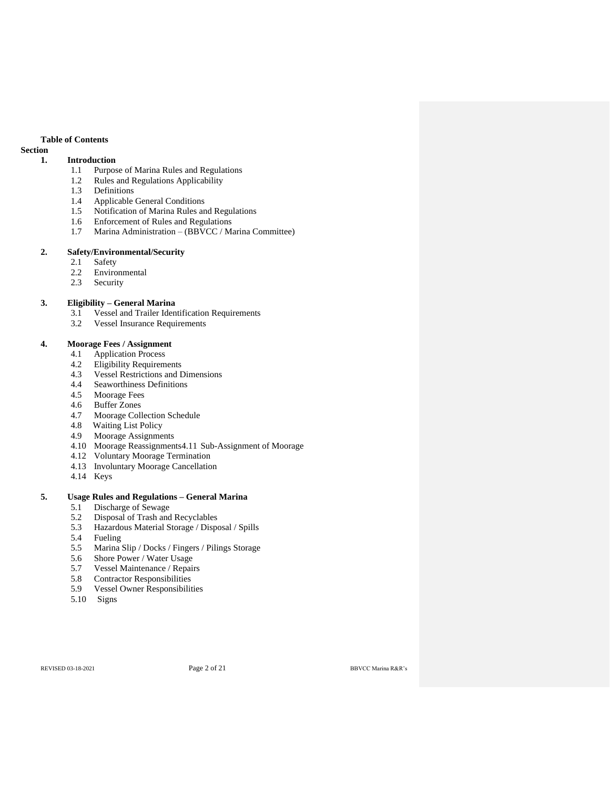### **Table of Contents**

## **Section**

## **1. Introduction**

- 1.1 Purpose of Marina Rules and Regulations
- 1.2 Rules and Regulations Applicability
- 1.3 Definitions
- 1.4 Applicable General Conditions
- 1.5 Notification of Marina Rules and Regulations
- 1.6 Enforcement of Rules and Regulations
- 1.7 Marina Administration (BBVCC / Marina Committee)

### **2. Safety/Environmental/Security**

- 2.1 Safety
- 2.2 Environmental
- 2.3 Security

## **3. Eligibility – General Marina**

- 3.1 Vessel and Trailer Identification Requirements<br>3.2 Vessel Insurance Requirements
- Vessel Insurance Requirements

## **4. Moorage Fees / Assignment**

- 4.1 Application Process
- 4.2 Eligibility Requirements
- 4.3 Vessel Restrictions and Dimensions
- 4.4 Seaworthiness Definitions
- 4.5 Moorage Fees
- 4.6 Buffer Zones
- 4.7 Moorage Collection Schedule<br>4.8 Waiting List Policy
- Waiting List Policy
- 4.9 Moorage Assignments
- 4.10 Moorage Reassignments4.11 Sub-Assignment of Moorage
- 4.12 Voluntary Moorage Termination
- 4.13 Involuntary Moorage Cancellation
- 4.14 Keys

## **5. Usage Rules and Regulations – General Marina**

- 5.1 Discharge of Sewage
- 5.2 Disposal of Trash and Recyclables
- 5.3 Hazardous Material Storage / Disposal / Spills
- 5.4 Fueling
- 5.5 Marina Slip / Docks / Fingers / Pilings Storage
- 5.6 Shore Power / Water Usage
- 5.7 Vessel Maintenance / Repairs
- 5.8 Contractor Responsibilities
- 5.9 Vessel Owner Responsibilities
- 5.10 Signs

REVISED 03-18-2021 **Page 2 of 21** BBVCC Marina R&R's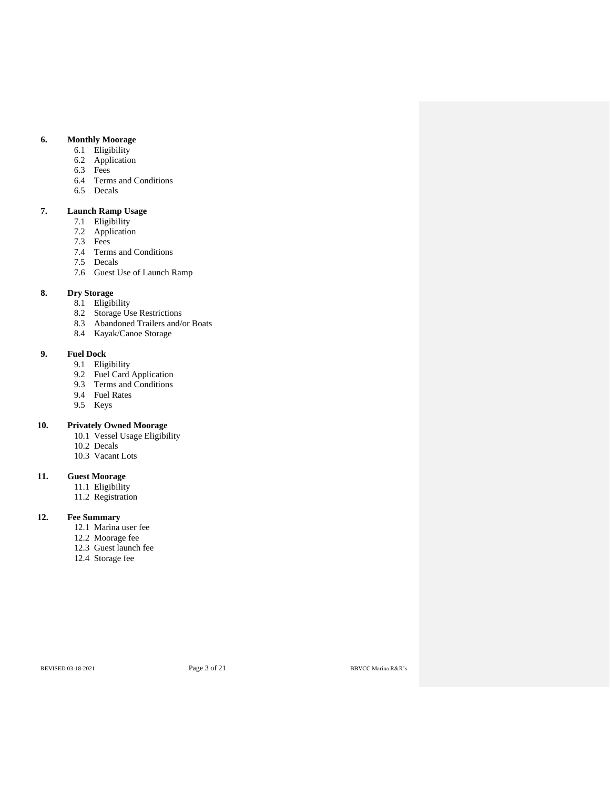## **6. Monthly Moorage**

- 6.1 Eligibility
- 6.2 Application
- 6.3 Fees
- 6.4 Terms and Conditions
- 6.5 Decals

## **7. Launch Ramp Usage**

- 7.1 Eligibility
- 7.2 Application
- 7.3 Fees
- 7.4 Terms and Conditions
- 7.5 Decals
- 7.6 Guest Use of Launch Ramp

## **8. Dry Storage**

- 8.1 Eligibility
- 8.2 Storage Use Restrictions
- 8.3 Abandoned Trailers and/or Boats
- 8.4 Kayak/Canoe Storage

## **9. Fuel Dock**

- 9.1 Eligibility
- 9.2 Fuel Card Application
- 9.3 Terms and Conditions
- 9.4 Fuel Rates
- 9.5 Keys

## **10. Privately Owned Moorage**

- 10.1 Vessel Usage Eligibility
- 10.2 Decals
- 10.3 Vacant Lots

## **11. Guest Moorage**

- 11.1 Eligibility
- 11.2 Registration

## **12. Fee Summary**

- 12.1 Marina user fee
- 12.2 Moorage fee
- 12.3 Guest launch fee
- 12.4 Storage fee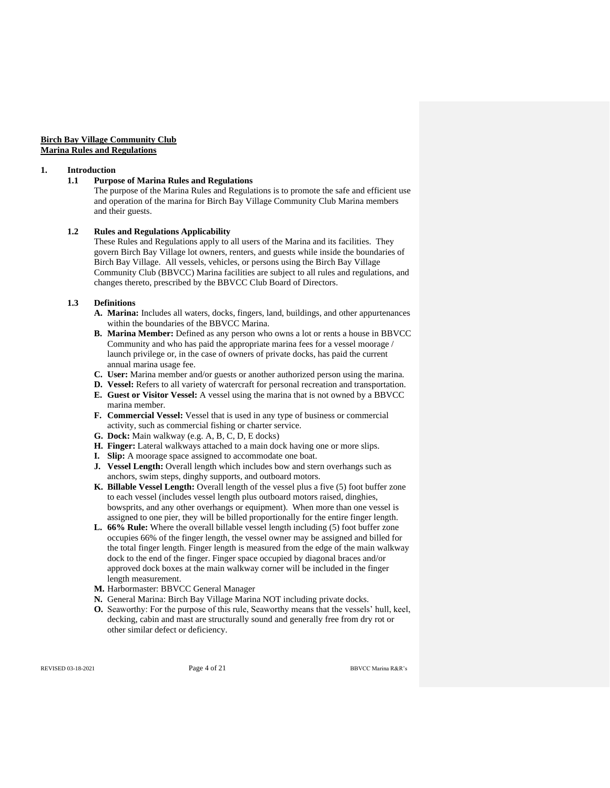### **Birch Bay Village Community Club Marina Rules and Regulations**

#### **1. Introduction**

#### **1.1 Purpose of Marina Rules and Regulations**

The purpose of the Marina Rules and Regulations is to promote the safe and efficient use and operation of the marina for Birch Bay Village Community Club Marina members and their guests.

### **1.2 Rules and Regulations Applicability**

These Rules and Regulations apply to all users of the Marina and its facilities. They govern Birch Bay Village lot owners, renters, and guests while inside the boundaries of Birch Bay Village. All vessels, vehicles, or persons using the Birch Bay Village Community Club (BBVCC) Marina facilities are subject to all rules and regulations, and changes thereto, prescribed by the BBVCC Club Board of Directors.

### **1.3 Definitions**

- **A. Marina:** Includes all waters, docks, fingers, land, buildings, and other appurtenances within the boundaries of the BBVCC Marina.
- **B. Marina Member:** Defined as any person who owns a lot or rents a house in BBVCC Community and who has paid the appropriate marina fees for a vessel moorage / launch privilege or, in the case of owners of private docks, has paid the current annual marina usage fee.
- **C. User:** Marina member and/or guests or another authorized person using the marina.
- **D. Vessel:** Refers to all variety of watercraft for personal recreation and transportation. **E. Guest or Visitor Vessel:** A vessel using the marina that is not owned by a BBVCC marina member.
- **F. Commercial Vessel:** Vessel that is used in any type of business or commercial activity, such as commercial fishing or charter service.
- **G. Dock:** Main walkway (e.g. A, B, C, D, E docks)
- **H. Finger:** Lateral walkways attached to a main dock having one or more slips.
- **I.** Slip: A moorage space assigned to accommodate one boat.
- **J.** Vessel Length: Overall length which includes bow and stern overhangs such as anchors, swim steps, dinghy supports, and outboard motors.
- **K. Billable Vessel Length:** Overall length of the vessel plus a five (5) foot buffer zone to each vessel (includes vessel length plus outboard motors raised, dinghies, bowsprits, and any other overhangs or equipment). When more than one vessel is assigned to one pier, they will be billed proportionally for the entire finger length.
- **L. 66% Rule:** Where the overall billable vessel length including (5) foot buffer zone occupies 66% of the finger length, the vessel owner may be assigned and billed for the total finger length. Finger length is measured from the edge of the main walkway dock to the end of the finger. Finger space occupied by diagonal braces and/or approved dock boxes at the main walkway corner will be included in the finger length measurement.
- **M.** Harbormaster: BBVCC General Manager
- **N.** General Marina: Birch Bay Village Marina NOT including private docks.
- **O.** Seaworthy: For the purpose of this rule, Seaworthy means that the vessels' hull, keel, decking, cabin and mast are structurally sound and generally free from dry rot or other similar defect or deficiency.

REVISED 03-18-2021 **Page 4 of 21** BBVCC Marina R&R's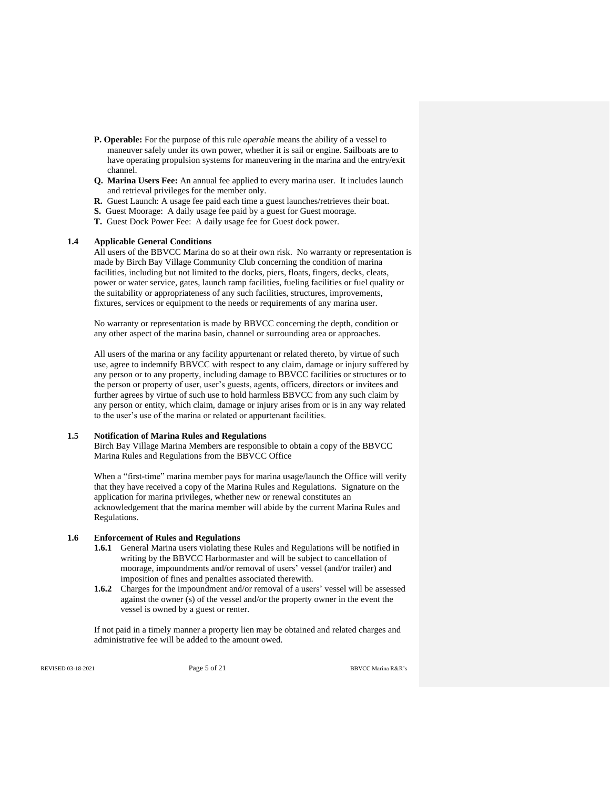- **P. Operable:** For the purpose of this rule *operable* means the ability of a vessel to maneuver safely under its own power, whether it is sail or engine. Sailboats are to have operating propulsion systems for maneuvering in the marina and the entry/exit channel.
- **Q. Marina Users Fee:** An annual fee applied to every marina user. It includes launch and retrieval privileges for the member only.
- **R.** Guest Launch: A usage fee paid each time a guest launches/retrieves their boat.
- **S.** Guest Moorage: A daily usage fee paid by a guest for Guest moorage.
- **T.** Guest Dock Power Fee: A daily usage fee for Guest dock power.

### **1.4 Applicable General Conditions**

All users of the BBVCC Marina do so at their own risk. No warranty or representation is made by Birch Bay Village Community Club concerning the condition of marina facilities, including but not limited to the docks, piers, floats, fingers, decks, cleats, power or water service, gates, launch ramp facilities, fueling facilities or fuel quality or the suitability or appropriateness of any such facilities, structures, improvements, fixtures, services or equipment to the needs or requirements of any marina user.

No warranty or representation is made by BBVCC concerning the depth, condition or any other aspect of the marina basin, channel or surrounding area or approaches.

All users of the marina or any facility appurtenant or related thereto, by virtue of such use, agree to indemnify BBVCC with respect to any claim, damage or injury suffered by any person or to any property, including damage to BBVCC facilities or structures or to the person or property of user, user's guests, agents, officers, directors or invitees and further agrees by virtue of such use to hold harmless BBVCC from any such claim by any person or entity, which claim, damage or injury arises from or is in any way related to the user's use of the marina or related or appurtenant facilities.

#### **1.5 Notification of Marina Rules and Regulations**

Birch Bay Village Marina Members are responsible to obtain a copy of the BBVCC Marina Rules and Regulations from the BBVCC Office

When a "first-time" marina member pays for marina usage/launch the Office will verify that they have received a copy of the Marina Rules and Regulations. Signature on the application for marina privileges, whether new or renewal constitutes an acknowledgement that the marina member will abide by the current Marina Rules and Regulations.

#### **1.6 Enforcement of Rules and Regulations**

- **1.6.1** General Marina users violating these Rules and Regulations will be notified in writing by the BBVCC Harbormaster and will be subject to cancellation of moorage, impoundments and/or removal of users' vessel (and/or trailer) and imposition of fines and penalties associated therewith.
- **1.6.2** Charges for the impoundment and/or removal of a users' vessel will be assessed against the owner (s) of the vessel and/or the property owner in the event the vessel is owned by a guest or renter.

If not paid in a timely manner a property lien may be obtained and related charges and administrative fee will be added to the amount owed.

REVISED 03-18-2021 **Page 5 of 21 Page 5 of 21** BBVCC Marina R&R's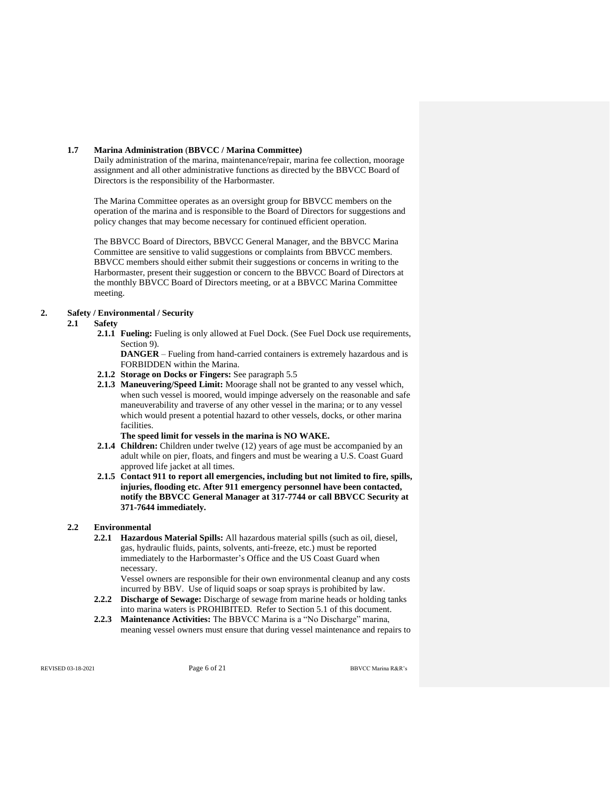#### **1.7 Marina Administration** (**BBVCC / Marina Committee)**

Daily administration of the marina, maintenance/repair, marina fee collection, moorage assignment and all other administrative functions as directed by the BBVCC Board of Directors is the responsibility of the Harbormaster.

The Marina Committee operates as an oversight group for BBVCC members on the operation of the marina and is responsible to the Board of Directors for suggestions and policy changes that may become necessary for continued efficient operation.

The BBVCC Board of Directors, BBVCC General Manager, and the BBVCC Marina Committee are sensitive to valid suggestions or complaints from BBVCC members. BBVCC members should either submit their suggestions or concerns in writing to the Harbormaster, present their suggestion or concern to the BBVCC Board of Directors at the monthly BBVCC Board of Directors meeting, or at a BBVCC Marina Committee meeting.

## **2. Safety / Environmental / Security**

## **2.1 Safety**

**2.1.1 Fueling:** Fueling is only allowed at Fuel Dock. (See Fuel Dock use requirements, Section 9).

**DANGER** – Fueling from hand-carried containers is extremely hazardous and is FORBIDDEN within the Marina.

- **2.1.2 Storage on Docks or Fingers:** See paragraph 5.5
- **2.1.3 Maneuvering/Speed Limit:** Moorage shall not be granted to any vessel which, when such vessel is moored, would impinge adversely on the reasonable and safe maneuverability and traverse of any other vessel in the marina; or to any vessel which would present a potential hazard to other vessels, docks, or other marina facilities.

**The speed limit for vessels in the marina is NO WAKE.**

- **2.1.4 Children:** Children under twelve (12) years of age must be accompanied by an adult while on pier, floats, and fingers and must be wearing a U.S. Coast Guard approved life jacket at all times.
- **2.1.5 Contact 911 to report all emergencies, including but not limited to fire, spills, injuries, flooding etc. After 911 emergency personnel have been contacted, notify the BBVCC General Manager at 317-7744 or call BBVCC Security at 371-7644 immediately.**

### **2.2 Environmental**

**2.2.1 Hazardous Material Spills:** All hazardous material spills (such as oil, diesel, gas, hydraulic fluids, paints, solvents, anti-freeze, etc.) must be reported immediately to the Harbormaster's Office and the US Coast Guard when necessary.

Vessel owners are responsible for their own environmental cleanup and any costs incurred by BBV. Use of liquid soaps or soap sprays is prohibited by law.

- **2.2.2 Discharge of Sewage:** Discharge of sewage from marine heads or holding tanks into marina waters is PROHIBITED. Refer to Section 5.1 of this document.
- **2.2.3 Maintenance Activities:** The BBVCC Marina is a "No Discharge" marina, meaning vessel owners must ensure that during vessel maintenance and repairs to

REVISED 03-18-2021 **Page 6 of 21 Page 6 of 21 BBVCC Marina R&R's**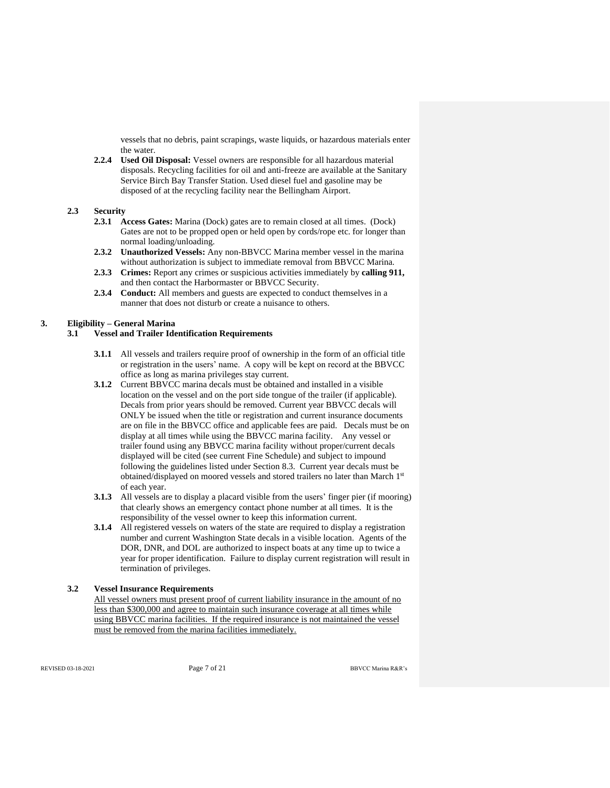vessels that no debris, paint scrapings, waste liquids, or hazardous materials enter the water.

**2.2.4 Used Oil Disposal:** Vessel owners are responsible for all hazardous material disposals. Recycling facilities for oil and anti-freeze are available at the Sanitary Service Birch Bay Transfer Station. Used diesel fuel and gasoline may be disposed of at the recycling facility near the Bellingham Airport.

### **2.3 Security**

- **2.3.1 Access Gates:** Marina (Dock) gates are to remain closed at all times. (Dock) Gates are not to be propped open or held open by cords/rope etc. for longer than normal loading/unloading.
- **2.3.2 Unauthorized Vessels:** Any non-BBVCC Marina member vessel in the marina without authorization is subject to immediate removal from BBVCC Marina.
- **2.3.3 Crimes:** Report any crimes or suspicious activities immediately by **calling 911,** and then contact the Harbormaster or BBVCC Security.
- **2.3.4 Conduct:** All members and guests are expected to conduct themselves in a manner that does not disturb or create a nuisance to others.

### **3. Eligibility – General Marina**

### **3.1 Vessel and Trailer Identification Requirements**

- **3.1.1** All vessels and trailers require proof of ownership in the form of an official title or registration in the users' name. A copy will be kept on record at the BBVCC office as long as marina privileges stay current.
- **3.1.2** Current BBVCC marina decals must be obtained and installed in a visible location on the vessel and on the port side tongue of the trailer (if applicable). Decals from prior years should be removed. Current year BBVCC decals will ONLY be issued when the title or registration and current insurance documents are on file in the BBVCC office and applicable fees are paid. Decals must be on display at all times while using the BBVCC marina facility. Any vessel or trailer found using any BBVCC marina facility without proper/current decals displayed will be cited (see current Fine Schedule) and subject to impound following the guidelines listed under Section 8.3. Current year decals must be obtained/displayed on moored vessels and stored trailers no later than March  $1^{\rm st}$ of each year.
- **3.1.3** All vessels are to display a placard visible from the users' finger pier (if mooring) that clearly shows an emergency contact phone number at all times. It is the responsibility of the vessel owner to keep this information current.
- **3.1.4** All registered vessels on waters of the state are required to display a registration number and current Washington State decals in a visible location. Agents of the DOR, DNR, and DOL are authorized to inspect boats at any time up to twice a year for proper identification. Failure to display current registration will result in termination of privileges.

### **3.2 Vessel Insurance Requirements**

All vessel owners must present proof of current liability insurance in the amount of no less than \$300,000 and agree to maintain such insurance coverage at all times while using BBVCC marina facilities. If the required insurance is not maintained the vessel must be removed from the marina facilities immediately.

REVISED 03-18-2021 **Page 7 of 21 Page 7 of 21 BBVCC Marina R&R's**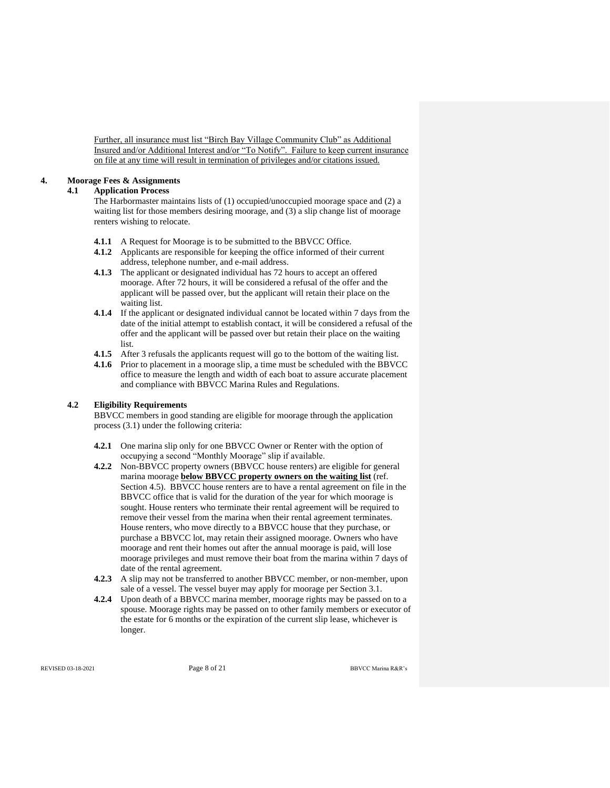Further, all insurance must list "Birch Bay Village Community Club" as Additional Insured and/or Additional Interest and/or "To Notify". Failure to keep current insurance on file at any time will result in termination of privileges and/or citations issued.

## **4. Moorage Fees & Assignments**

## **4.1 Application Process**

The Harbormaster maintains lists of (1) occupied/unoccupied moorage space and (2) a waiting list for those members desiring moorage, and (3) a slip change list of moorage renters wishing to relocate.

- **4.1.1** A Request for Moorage is to be submitted to the BBVCC Office.
- **4.1.2** Applicants are responsible for keeping the office informed of their current address, telephone number, and e-mail address.
- **4.1.3** The applicant or designated individual has 72 hours to accept an offered moorage. After 72 hours, it will be considered a refusal of the offer and the applicant will be passed over, but the applicant will retain their place on the waiting list.
- **4.1.4** If the applicant or designated individual cannot be located within 7 days from the date of the initial attempt to establish contact, it will be considered a refusal of the offer and the applicant will be passed over but retain their place on the waiting list.
- **4.1.5** After 3 refusals the applicants request will go to the bottom of the waiting list.
- **4.1.6** Prior to placement in a moorage slip, a time must be scheduled with the BBVCC office to measure the length and width of each boat to assure accurate placement and compliance with BBVCC Marina Rules and Regulations.

## **4.2 Eligibility Requirements**

BBVCC members in good standing are eligible for moorage through the application process (3.1) under the following criteria:

- **4.2.1** One marina slip only for one BBVCC Owner or Renter with the option of occupying a second "Monthly Moorage" slip if available.
- **4.2.2** Non-BBVCC property owners (BBVCC house renters) are eligible for general marina moorage **below BBVCC property owners on the waiting list** (ref. Section 4.5). BBVCC house renters are to have a rental agreement on file in the BBVCC office that is valid for the duration of the year for which moorage is sought. House renters who terminate their rental agreement will be required to remove their vessel from the marina when their rental agreement terminates. House renters, who move directly to a BBVCC house that they purchase, or purchase a BBVCC lot, may retain their assigned moorage. Owners who have moorage and rent their homes out after the annual moorage is paid, will lose moorage privileges and must remove their boat from the marina within 7 days of date of the rental agreement.
- **4.2.3** A slip may not be transferred to another BBVCC member, or non-member, upon sale of a vessel. The vessel buyer may apply for moorage per Section 3.1.
- **4.2.4** Upon death of a BBVCC marina member, moorage rights may be passed on to a spouse. Moorage rights may be passed on to other family members or executor of the estate for 6 months or the expiration of the current slip lease, whichever is longer.

REVISED 03-18-2021 **Page 8 of 21** BBVCC Marina R&R's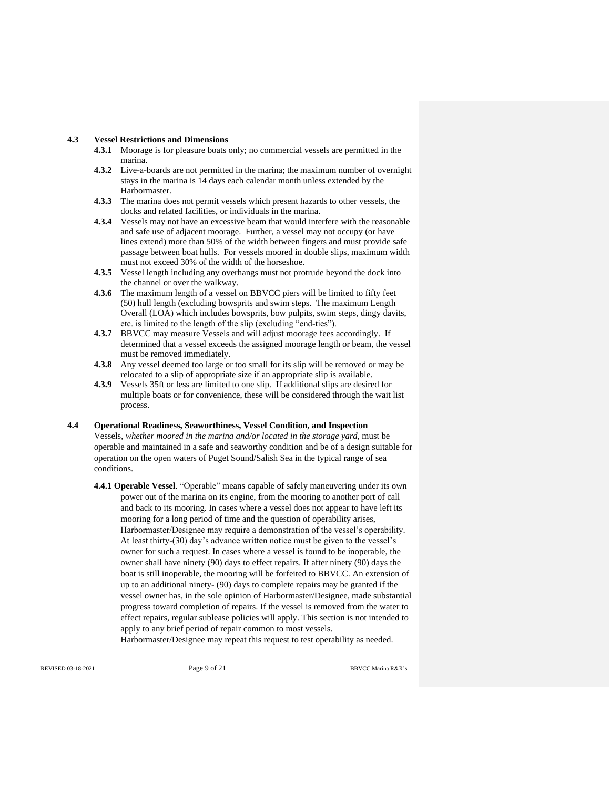### **4.3 Vessel Restrictions and Dimensions**

- **4.3.1** Moorage is for pleasure boats only; no commercial vessels are permitted in the marina.
- **4.3.2** Live-a-boards are not permitted in the marina; the maximum number of overnight stays in the marina is 14 days each calendar month unless extended by the Harbormaster.
- **4.3.3** The marina does not permit vessels which present hazards to other vessels, the docks and related facilities, or individuals in the marina.
- **4.3.4** Vessels may not have an excessive beam that would interfere with the reasonable and safe use of adjacent moorage. Further, a vessel may not occupy (or have lines extend) more than 50% of the width between fingers and must provide safe passage between boat hulls. For vessels moored in double slips, maximum width must not exceed 30% of the width of the horseshoe.
- **4.3.5** Vessel length including any overhangs must not protrude beyond the dock into the channel or over the walkway.
- **4.3.6** The maximum length of a vessel on BBVCC piers will be limited to fifty feet (50) hull length (excluding bowsprits and swim steps. The maximum Length Overall (LOA) which includes bowsprits, bow pulpits, swim steps, dingy davits, etc. is limited to the length of the slip (excluding "end-ties").
- **4.3.7** BBVCC may measure Vessels and will adjust moorage fees accordingly. If determined that a vessel exceeds the assigned moorage length or beam, the vessel must be removed immediately.
- **4.3.8** Any vessel deemed too large or too small for its slip will be removed or may be relocated to a slip of appropriate size if an appropriate slip is available.
- **4.3.9** Vessels 35ft or less are limited to one slip. If additional slips are desired for multiple boats or for convenience, these will be considered through the wait list process.

### **4.4 Operational Readiness, Seaworthiness, Vessel Condition, and Inspection**

Vessels, *whether moored in the marina and/or located in the storage yard*, must be operable and maintained in a safe and seaworthy condition and be of a design suitable for operation on the open waters of Puget Sound/Salish Sea in the typical range of sea conditions.

**4.4.1 Operable Vessel**. "Operable" means capable of safely maneuvering under its own power out of the marina on its engine, from the mooring to another port of call and back to its mooring. In cases where a vessel does not appear to have left its mooring for a long period of time and the question of operability arises, Harbormaster/Designee may require a demonstration of the vessel's operability. At least thirty-(30) day's advance written notice must be given to the vessel's owner for such a request. In cases where a vessel is found to be inoperable, the owner shall have ninety (90) days to effect repairs. If after ninety (90) days the boat is still inoperable, the mooring will be forfeited to BBVCC. An extension of up to an additional ninety- (90) days to complete repairs may be granted if the vessel owner has, in the sole opinion of Harbormaster/Designee, made substantial progress toward completion of repairs. If the vessel is removed from the water to effect repairs, regular sublease policies will apply. This section is not intended to apply to any brief period of repair common to most vessels.

Harbormaster/Designee may repeat this request to test operability as needed.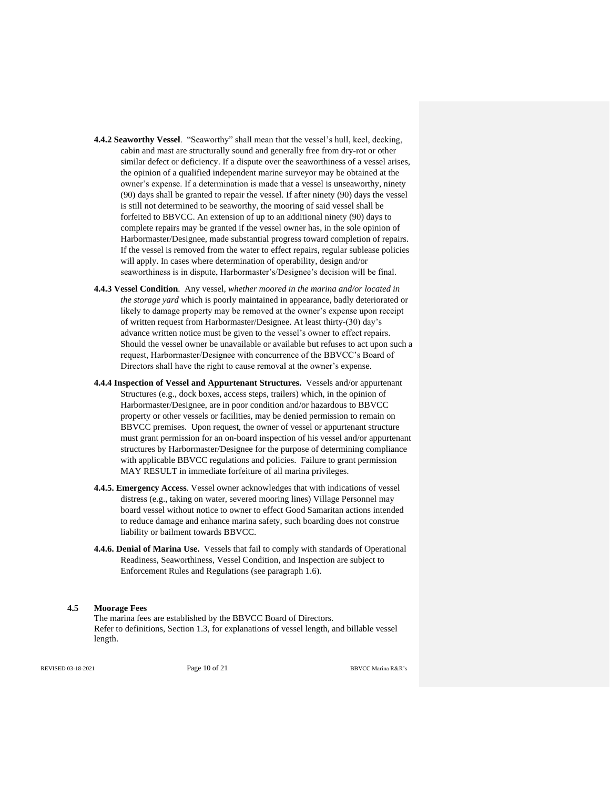- **4.4.2 Seaworthy Vessel**. "Seaworthy" shall mean that the vessel's hull, keel, decking, cabin and mast are structurally sound and generally free from dry-rot or other similar defect or deficiency. If a dispute over the seaworthiness of a vessel arises, the opinion of a qualified independent marine surveyor may be obtained at the owner's expense. If a determination is made that a vessel is unseaworthy, ninety (90) days shall be granted to repair the vessel. If after ninety (90) days the vessel is still not determined to be seaworthy, the mooring of said vessel shall be forfeited to BBVCC. An extension of up to an additional ninety (90) days to complete repairs may be granted if the vessel owner has, in the sole opinion of Harbormaster/Designee, made substantial progress toward completion of repairs. If the vessel is removed from the water to effect repairs, regular sublease policies will apply. In cases where determination of operability, design and/or seaworthiness is in dispute, Harbormaster's/Designee's decision will be final.
- **4.4.3 Vessel Condition**. Any vessel, *whether moored in the marina and/or located in the storage yard* which is poorly maintained in appearance, badly deteriorated or likely to damage property may be removed at the owner's expense upon receipt of written request from Harbormaster/Designee. At least thirty-(30) day's advance written notice must be given to the vessel's owner to effect repairs. Should the vessel owner be unavailable or available but refuses to act upon such a request, Harbormaster/Designee with concurrence of the BBVCC's Board of Directors shall have the right to cause removal at the owner's expense.
- **4.4.4 Inspection of Vessel and Appurtenant Structures.** Vessels and/or appurtenant Structures (e.g., dock boxes, access steps, trailers) which, in the opinion of Harbormaster/Designee, are in poor condition and/or hazardous to BBVCC property or other vessels or facilities, may be denied permission to remain on BBVCC premises. Upon request, the owner of vessel or appurtenant structure must grant permission for an on-board inspection of his vessel and/or appurtenant structures by Harbormaster/Designee for the purpose of determining compliance with applicable BBVCC regulations and policies. Failure to grant permission MAY RESULT in immediate forfeiture of all marina privileges.
- **4.4.5. Emergency Access**. Vessel owner acknowledges that with indications of vessel distress (e.g., taking on water, severed mooring lines) Village Personnel may board vessel without notice to owner to effect Good Samaritan actions intended to reduce damage and enhance marina safety, such boarding does not construe liability or bailment towards BBVCC.
- **4.4.6. Denial of Marina Use.** Vessels that fail to comply with standards of Operational Readiness, Seaworthiness, Vessel Condition, and Inspection are subject to Enforcement Rules and Regulations (see paragraph 1.6).

#### **4.5 Moorage Fees**

The marina fees are established by the BBVCC Board of Directors. Refer to definitions, Section 1.3, for explanations of vessel length, and billable vessel length.

REVISED 03-18-2021 **Page 10 of 21 Page 10 of 21 BBVCC Marina R&R**'s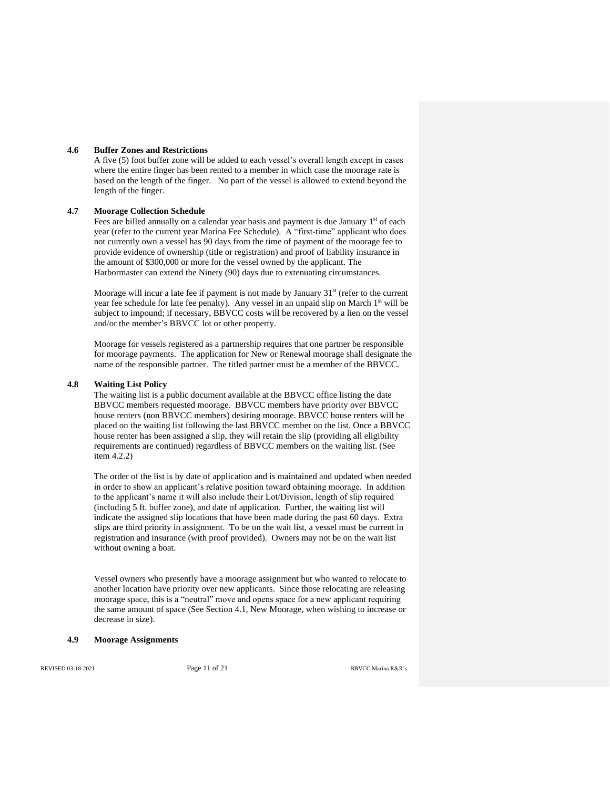#### **4.6 Buffer Zones and Restrictions**

A five (5) foot buffer zone will be added to each vessel's overall length except in cases where the entire finger has been rented to a member in which case the moorage rate is based on the length of the finger. No part of the vessel is allowed to extend beyond the length of the finger.

## **4.7 Moorage Collection Schedule**

Fees are billed annually on a calendar year basis and payment is due January 1st of each year (refer to the current year Marina Fee Schedule). A "first-time" applicant who does not currently own a vessel has 90 days from the time of payment of the moorage fee to provide evidence of ownership (title or registration) and proof of liability insurance in the amount of \$300,000 or more for the vessel owned by the applicant. The Harbormaster can extend the Ninety (90) days due to extenuating circumstances.

Moorage will incur a late fee if payment is not made by January  $31<sup>st</sup>$  (refer to the current year fee schedule for late fee penalty). Any vessel in an unpaid slip on March 1<sup>st</sup> will be subject to impound; if necessary, BBVCC costs will be recovered by a lien on the vessel and/or the member's BBVCC lot or other property.

Moorage for vessels registered as a partnership requires that one partner be responsible for moorage payments. The application for New or Renewal moorage shall designate the name of the responsible partner. The titled partner must be a member of the BBVCC.

#### **4.8 Waiting List Policy**

The waiting list is a public document available at the BBVCC office listing the date BBVCC members requested moorage. BBVCC members have priority over BBVCC house renters (non BBVCC members) desiring moorage. BBVCC house renters will be placed on the waiting list following the last BBVCC member on the list. Once a BBVCC house renter has been assigned a slip, they will retain the slip (providing all eligibility requirements are continued) regardless of BBVCC members on the waiting list. (See item 4.2.2)

The order of the list is by date of application and is maintained and updated when needed in order to show an applicant's relative position toward obtaining moorage. In addition to the applicant's name it will also include their Lot/Division, length of slip required (including 5 ft. buffer zone), and date of application. Further, the waiting list will indicate the assigned slip locations that have been made during the past 60 days. Extra slips are third priority in assignment. To be on the wait list, a vessel must be current in registration and insurance (with proof provided). Owners may not be on the wait list without owning a boat.

Vessel owners who presently have a moorage assignment but who wanted to relocate to another location have priority over new applicants. Since those relocating are releasing moorage space, this is a "neutral" move and opens space for a new applicant requiring the same amount of space (See Section 4.1, New Moorage, when wishing to increase or decrease in size).

#### **4.9 Moorage Assignments**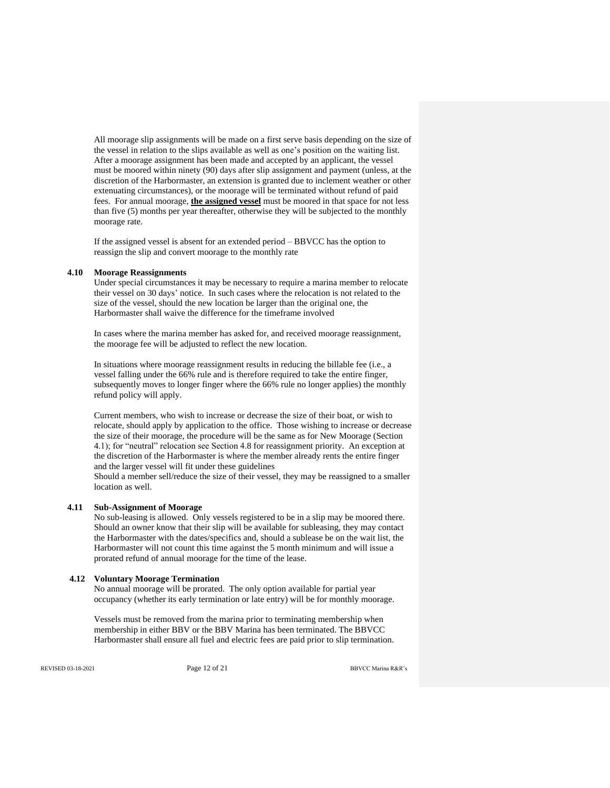All moorage slip assignments will be made on a first serve basis depending on the size of the vessel in relation to the slips available as well as one's position on the waiting list. After a moorage assignment has been made and accepted by an applicant, the vessel must be moored within ninety (90) days after slip assignment and payment (unless, at the discretion of the Harbormaster, an extension is granted due to inclement weather or other extenuating circumstances), or the moorage will be terminated without refund of paid fees. For annual moorage, **the assigned vessel** must be moored in that space for not less than five (5) months per year thereafter, otherwise they will be subjected to the monthly moorage rate.

If the assigned vessel is absent for an extended period – BBVCC has the option to reassign the slip and convert moorage to the monthly rate

#### **4.10 Moorage Reassignments**

Under special circumstances it may be necessary to require a marina member to relocate their vessel on 30 days' notice. In such cases where the relocation is not related to the size of the vessel, should the new location be larger than the original one, the Harbormaster shall waive the difference for the timeframe involved

In cases where the marina member has asked for, and received moorage reassignment, the moorage fee will be adjusted to reflect the new location.

In situations where moorage reassignment results in reducing the billable fee (i.e., a vessel falling under the 66% rule and is therefore required to take the entire finger, subsequently moves to longer finger where the 66% rule no longer applies) the monthly refund policy will apply.

Current members, who wish to increase or decrease the size of their boat, or wish to relocate, should apply by application to the office. Those wishing to increase or decrease the size of their moorage, the procedure will be the same as for New Moorage (Section 4.1); for "neutral" relocation see Section 4.8 for reassignment priority. An exception at the discretion of the Harbormaster is where the member already rents the entire finger and the larger vessel will fit under these guidelines Should a member sell/reduce the size of their vessel, they may be reassigned to a smaller location as well.

#### **4.11 Sub-Assignment of Moorage**

No sub-leasing is allowed. Only vessels registered to be in a slip may be moored there. Should an owner know that their slip will be available for subleasing, they may contact the Harbormaster with the dates/specifics and, should a sublease be on the wait list, the Harbormaster will not count this time against the 5 month minimum and will issue a prorated refund of annual moorage for the time of the lease.

#### **4.12 Voluntary Moorage Termination**

No annual moorage will be prorated. The only option available for partial year occupancy (whether its early termination or late entry) will be for monthly moorage.

Vessels must be removed from the marina prior to terminating membership when membership in either BBV or the BBV Marina has been terminated. The BBVCC Harbormaster shall ensure all fuel and electric fees are paid prior to slip termination.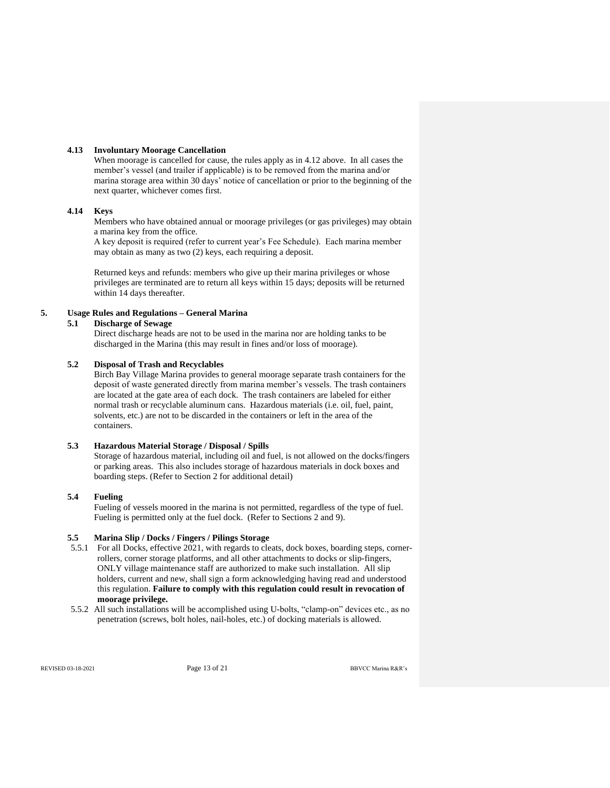#### **4.13 Involuntary Moorage Cancellation**

When moorage is cancelled for cause, the rules apply as in 4.12 above. In all cases the member's vessel (and trailer if applicable) is to be removed from the marina and/or marina storage area within 30 days' notice of cancellation or prior to the beginning of the next quarter, whichever comes first.

## **4.14 Keys**

Members who have obtained annual or moorage privileges (or gas privileges) may obtain a marina key from the office.

A key deposit is required (refer to current year's Fee Schedule). Each marina member may obtain as many as two (2) keys, each requiring a deposit.

Returned keys and refunds: members who give up their marina privileges or whose privileges are terminated are to return all keys within 15 days; deposits will be returned within 14 days thereafter.

## **5. Usage Rules and Regulations – General Marina**

## **5.1 Discharge of Sewage**

Direct discharge heads are not to be used in the marina nor are holding tanks to be discharged in the Marina (this may result in fines and/or loss of moorage).

### **5.2 Disposal of Trash and Recyclables**

Birch Bay Village Marina provides to general moorage separate trash containers for the deposit of waste generated directly from marina member's vessels. The trash containers are located at the gate area of each dock. The trash containers are labeled for either normal trash or recyclable aluminum cans. Hazardous materials (i.e. oil, fuel, paint, solvents, etc.) are not to be discarded in the containers or left in the area of the containers.

### **5.3 Hazardous Material Storage / Disposal / Spills**

Storage of hazardous material, including oil and fuel, is not allowed on the docks/fingers or parking areas. This also includes storage of hazardous materials in dock boxes and boarding steps. (Refer to Section 2 for additional detail)

### **5.4 Fueling**

Fueling of vessels moored in the marina is not permitted, regardless of the type of fuel. Fueling is permitted only at the fuel dock. (Refer to Sections 2 and 9).

### **5.5 Marina Slip / Docks / Fingers / Pilings Storage**

- 5.5.1 For all Docks, effective 2021, with regards to cleats, dock boxes, boarding steps, cornerrollers, corner storage platforms, and all other attachments to docks or slip-fingers, ONLY village maintenance staff are authorized to make such installation. All slip holders, current and new, shall sign a form acknowledging having read and understood this regulation. **Failure to comply with this regulation could result in revocation of moorage privilege.**
- 5.5.2 All such installations will be accomplished using U-bolts, "clamp-on" devices etc., as no penetration (screws, bolt holes, nail-holes, etc.) of docking materials is allowed.

REVISED 03-18-2021 **Page 13 of 21 Page 13 of 21 BBVCC Marina R&R**'s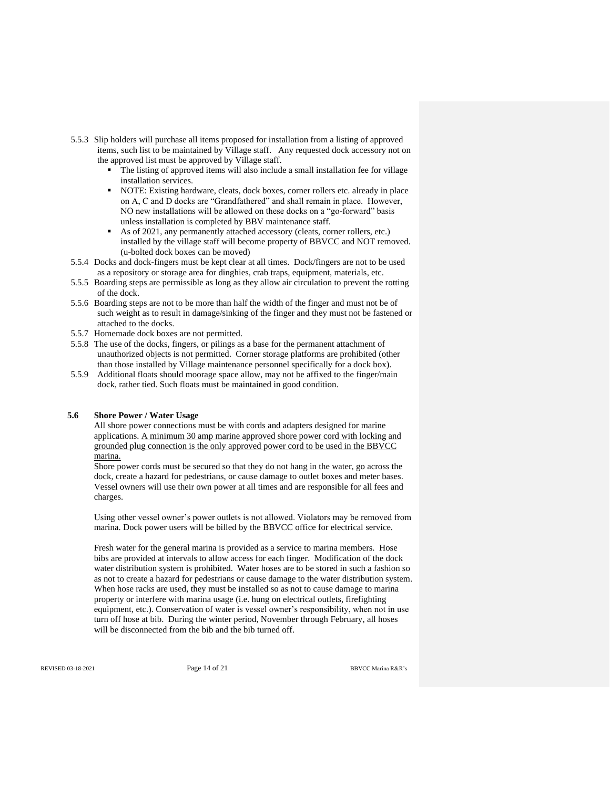- 5.5.3 Slip holders will purchase all items proposed for installation from a listing of approved items, such list to be maintained by Village staff. Any requested dock accessory not on the approved list must be approved by Village staff.
	- The listing of approved items will also include a small installation fee for village installation services.
	- NOTE: Existing hardware, cleats, dock boxes, corner rollers etc. already in place on A, C and D docks are "Grandfathered" and shall remain in place. However, NO new installations will be allowed on these docks on a "go-forward" basis unless installation is completed by BBV maintenance staff.
	- As of 2021, any permanently attached accessory (cleats, corner rollers, etc.) installed by the village staff will become property of BBVCC and NOT removed. (u-bolted dock boxes can be moved)
- 5.5.4 Docks and dock-fingers must be kept clear at all times. Dock/fingers are not to be used as a repository or storage area for dinghies, crab traps, equipment, materials, etc.
- 5.5.5 Boarding steps are permissible as long as they allow air circulation to prevent the rotting of the dock.
- 5.5.6 Boarding steps are not to be more than half the width of the finger and must not be of such weight as to result in damage/sinking of the finger and they must not be fastened or attached to the docks.
- 5.5.7 Homemade dock boxes are not permitted.
- 5.5.8 The use of the docks, fingers, or pilings as a base for the permanent attachment of unauthorized objects is not permitted. Corner storage platforms are prohibited (other than those installed by Village maintenance personnel specifically for a dock box).
- 5.5.9 Additional floats should moorage space allow, may not be affixed to the finger/main dock, rather tied. Such floats must be maintained in good condition.

#### **5.6 Shore Power / Water Usage**

All shore power connections must be with cords and adapters designed for marine applications. A minimum 30 amp marine approved shore power cord with locking and grounded plug connection is the only approved power cord to be used in the BBVCC marina.

Shore power cords must be secured so that they do not hang in the water, go across the dock, create a hazard for pedestrians, or cause damage to outlet boxes and meter bases. Vessel owners will use their own power at all times and are responsible for all fees and charges.

Using other vessel owner's power outlets is not allowed. Violators may be removed from marina. Dock power users will be billed by the BBVCC office for electrical service.

Fresh water for the general marina is provided as a service to marina members. Hose bibs are provided at intervals to allow access for each finger. Modification of the dock water distribution system is prohibited. Water hoses are to be stored in such a fashion so as not to create a hazard for pedestrians or cause damage to the water distribution system. When hose racks are used, they must be installed so as not to cause damage to marina property or interfere with marina usage (i.e. hung on electrical outlets, firefighting equipment, etc.). Conservation of water is vessel owner's responsibility, when not in use turn off hose at bib. During the winter period, November through February, all hoses will be disconnected from the bib and the bib turned off.

REVISED 03-18-2021 **Page 14 of 21 Page 14 of 21 BBVCC Marina R&R's**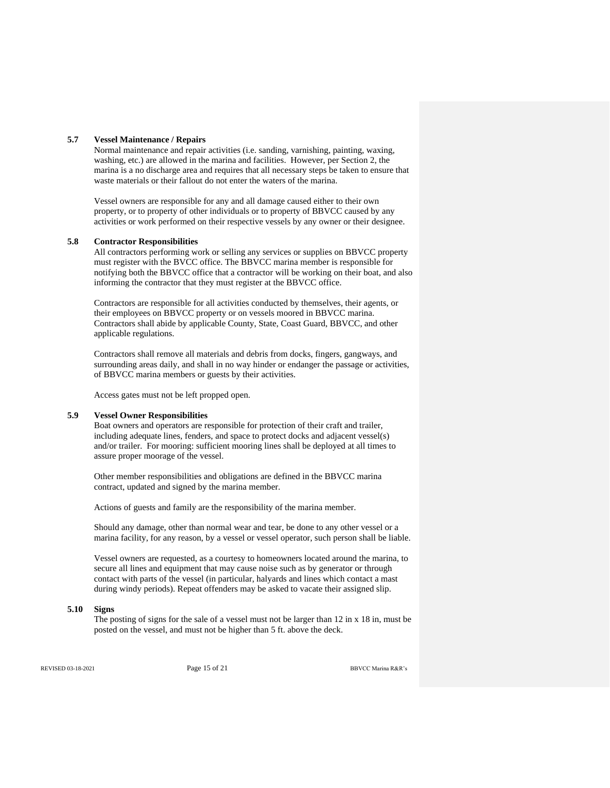#### **5.7 Vessel Maintenance / Repairs**

Normal maintenance and repair activities (i.e. sanding, varnishing, painting, waxing, washing, etc.) are allowed in the marina and facilities. However, per Section 2, the marina is a no discharge area and requires that all necessary steps be taken to ensure that waste materials or their fallout do not enter the waters of the marina.

Vessel owners are responsible for any and all damage caused either to their own property, or to property of other individuals or to property of BBVCC caused by any activities or work performed on their respective vessels by any owner or their designee.

### **5.8 Contractor Responsibilities**

All contractors performing work or selling any services or supplies on BBVCC property must register with the BVCC office. The BBVCC marina member is responsible for notifying both the BBVCC office that a contractor will be working on their boat, and also informing the contractor that they must register at the BBVCC office.

Contractors are responsible for all activities conducted by themselves, their agents, or their employees on BBVCC property or on vessels moored in BBVCC marina. Contractors shall abide by applicable County, State, Coast Guard, BBVCC, and other applicable regulations.

Contractors shall remove all materials and debris from docks, fingers, gangways, and surrounding areas daily, and shall in no way hinder or endanger the passage or activities, of BBVCC marina members or guests by their activities.

Access gates must not be left propped open.

#### **5.9 Vessel Owner Responsibilities**

Boat owners and operators are responsible for protection of their craft and trailer, including adequate lines, fenders, and space to protect docks and adjacent vessel(s) and/or trailer. For mooring: sufficient mooring lines shall be deployed at all times to assure proper moorage of the vessel.

Other member responsibilities and obligations are defined in the BBVCC marina contract, updated and signed by the marina member.

Actions of guests and family are the responsibility of the marina member.

Should any damage, other than normal wear and tear, be done to any other vessel or a marina facility, for any reason, by a vessel or vessel operator, such person shall be liable.

Vessel owners are requested, as a courtesy to homeowners located around the marina, to secure all lines and equipment that may cause noise such as by generator or through contact with parts of the vessel (in particular, halyards and lines which contact a mast during windy periods). Repeat offenders may be asked to vacate their assigned slip.

#### **5.10 Signs**

The posting of signs for the sale of a vessel must not be larger than 12 in x 18 in, must be posted on the vessel, and must not be higher than 5 ft. above the deck.

REVISED 03-18-2021 **Page 15 of 21 Page 15 of 21 BBVCC Marina R&R**'s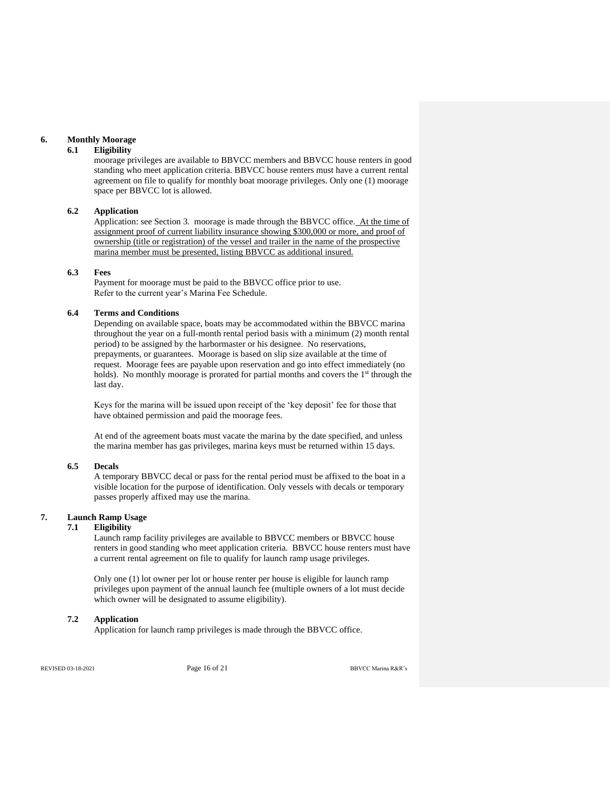#### **6. Monthly Moorage**

#### **6.1 Eligibility**

moorage privileges are available to BBVCC members and BBVCC house renters in good standing who meet application criteria. BBVCC house renters must have a current rental agreement on file to qualify for monthly boat moorage privileges. Only one (1) moorage space per BBVCC lot is allowed.

#### **6.2 Application**

Application: see Section 3. moorage is made through the BBVCC office. At the time of assignment proof of current liability insurance showing \$300,000 or more, and proof of ownership (title or registration) of the vessel and trailer in the name of the prospective marina member must be presented, listing BBVCC as additional insured.

## **6.3 Fees**

Payment for moorage must be paid to the BBVCC office prior to use. Refer to the current year's Marina Fee Schedule.

### **6.4 Terms and Conditions**

Depending on available space, boats may be accommodated within the BBVCC marina throughout the year on a full-month rental period basis with a minimum (2) month rental period) to be assigned by the harbormaster or his designee.No reservations, prepayments, or guarantees. Moorage is based on slip size available at the time of request. Moorage fees are payable upon reservation and go into effect immediately (no holds). No monthly moorage is prorated for partial months and covers the 1<sup>st</sup> through the last day.

Keys for the marina will be issued upon receipt of the 'key deposit' fee for those that have obtained permission and paid the moorage fees.

At end of the agreement boats must vacate the marina by the date specified, and unless the marina member has gas privileges, marina keys must be returned within 15 days.

### **6.5 Decals**

A temporary BBVCC decal or pass for the rental period must be affixed to the boat in a visible location for the purpose of identification. Only vessels with decals or temporary passes properly affixed may use the marina.

### **7. Launch Ramp Usage**

#### **7.1 Eligibility**

Launch ramp facility privileges are available to BBVCC members or BBVCC house renters in good standing who meet application criteria. BBVCC house renters must have a current rental agreement on file to qualify for launch ramp usage privileges.

Only one (1) lot owner per lot or house renter per house is eligible for launch ramp privileges upon payment of the annual launch fee (multiple owners of a lot must decide which owner will be designated to assume eligibility).

## **7.2 Application**

Application for launch ramp privileges is made through the BBVCC office.

REVISED 03-18-2021 **Page 16 of 21 Page 16 of 21 BBVCC Marina R&R**'s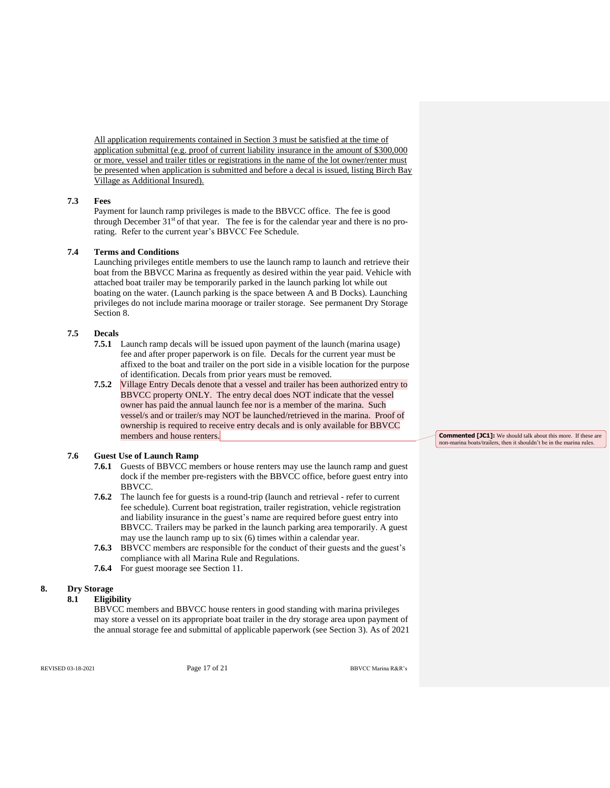All application requirements contained in Section 3 must be satisfied at the time of application submittal (e.g. proof of current liability insurance in the amount of \$300,000 or more, vessel and trailer titles or registrations in the name of the lot owner/renter must be presented when application is submitted and before a decal is issued, listing Birch Bay Village as Additional Insured).

#### **7.3 Fees**

Payment for launch ramp privileges is made to the BBVCC office. The fee is good through December  $31<sup>st</sup>$  of that year. The fee is for the calendar year and there is no prorating. Refer to the current year's BBVCC Fee Schedule.

### **7.4 Terms and Conditions**

Launching privileges entitle members to use the launch ramp to launch and retrieve their boat from the BBVCC Marina as frequently as desired within the year paid. Vehicle with attached boat trailer may be temporarily parked in the launch parking lot while out boating on the water. (Launch parking is the space between A and B Docks). Launching privileges do not include marina moorage or trailer storage. See permanent Dry Storage Section 8.

### **7.5 Decals**

- **7.5.1** Launch ramp decals will be issued upon payment of the launch (marina usage) fee and after proper paperwork is on file. Decals for the current year must be affixed to the boat and trailer on the port side in a visible location for the purpose of identification. Decals from prior years must be removed.
- **7.5.2** Village Entry Decals denote that a vessel and trailer has been authorized entry to BBVCC property ONLY*.* The entry decal does NOT indicate that the vessel owner has paid the annual launch fee nor is a member of the marina. Such vessel/s and or trailer/s may NOT be launched/retrieved in the marina. Proof of ownership is required to receive entry decals and is only available for BBVCC members and house renters.

### **7.6 Guest Use of Launch Ramp**

- **7.6.1** Guests of BBVCC members or house renters may use the launch ramp and guest dock if the member pre-registers with the BBVCC office, before guest entry into BBVCC.
- **7.6.2** The launch fee for guests is a round-trip (launch and retrieval refer to current fee schedule). Current boat registration, trailer registration, vehicle registration and liability insurance in the guest's name are required before guest entry into BBVCC. Trailers may be parked in the launch parking area temporarily. A guest may use the launch ramp up to six (6) times within a calendar year.
- **7.6.3** BBVCC members are responsible for the conduct of their guests and the guest's compliance with all Marina Rule and Regulations.
- **7.6.4** For guest moorage see Section 11.

#### **8. Dry Storage**

#### **8.1 Eligibility**

BBVCC members and BBVCC house renters in good standing with marina privileges may store a vessel on its appropriate boat trailer in the dry storage area upon payment of the annual storage fee and submittal of applicable paperwork (see Section 3). As of 2021 **Commented [JC1]:** We should talk about this more. If these are non-marina boats/trailers, then it shouldn't be in the marina rules.

REVISED 03-18-2021 **Page 17 of 21 Page 17 of 21 BBVCC Marina R&R**'s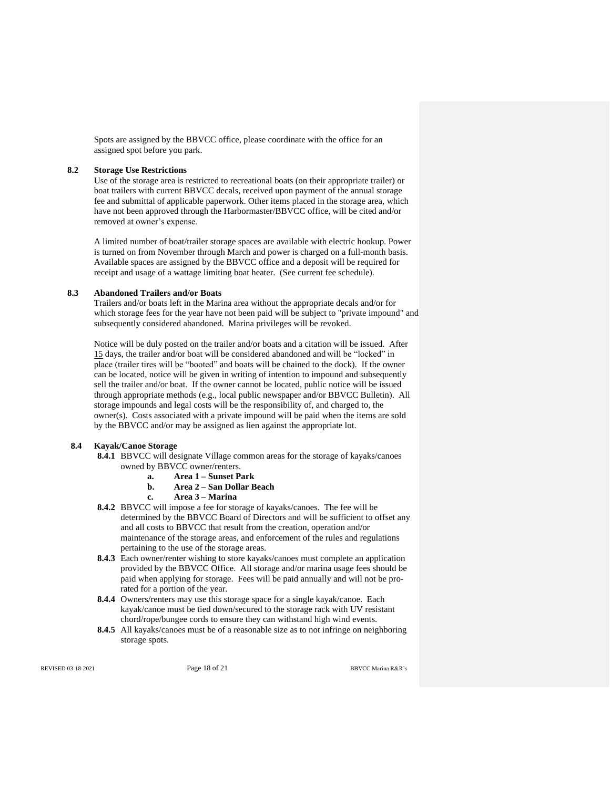Spots are assigned by the BBVCC office, please coordinate with the office for an assigned spot before you park.

### **8.2 Storage Use Restrictions**

Use of the storage area is restricted to recreational boats (on their appropriate trailer) or boat trailers with current BBVCC decals, received upon payment of the annual storage fee and submittal of applicable paperwork. Other items placed in the storage area, which have not been approved through the Harbormaster/BBVCC office, will be cited and/or removed at owner's expense.

A limited number of boat/trailer storage spaces are available with electric hookup. Power is turned on from November through March and power is charged on a full-month basis. Available spaces are assigned by the BBVCC office and a deposit will be required for receipt and usage of a wattage limiting boat heater. (See current fee schedule).

#### **8.3 Abandoned Trailers and/or Boats**

Trailers and/or boats left in the Marina area without the appropriate decals and/or for which storage fees for the year have not been paid will be subject to "private impound" and subsequently considered abandoned. Marina privileges will be revoked.

Notice will be duly posted on the trailer and/or boats and a citation will be issued. After 15 days, the trailer and/or boat will be considered abandoned and will be "locked" in place (trailer tires will be "booted" and boats will be chained to the dock). If the owner can be located, notice will be given in writing of intention to impound and subsequently sell the trailer and/or boat. If the owner cannot be located, public notice will be issued through appropriate methods (e.g., local public newspaper and/or BBVCC Bulletin). All storage impounds and legal costs will be the responsibility of, and charged to, the owner(s). Costs associated with a private impound will be paid when the items are sold by the BBVCC and/or may be assigned as lien against the appropriate lot.

### **8.4 Kayak/Canoe Storage**

- **8.4.1** BBVCC will designate Village common areas for the storage of kayaks/canoes owned by BBVCC owner/renters.
	- **a. Area 1 – Sunset Park**
	- **b. Area 2 – San Dollar Beach**
	- **c. Area 3 – Marina**
- **8.4.2** BBVCC will impose a fee for storage of kayaks/canoes. The fee will be determined by the BBVCC Board of Directors and will be sufficient to offset any and all costs to BBVCC that result from the creation, operation and/or maintenance of the storage areas, and enforcement of the rules and regulations pertaining to the use of the storage areas.
- **8.4.3** Each owner/renter wishing to store kayaks/canoes must complete an application provided by the BBVCC Office. All storage and/or marina usage fees should be paid when applying for storage. Fees will be paid annually and will not be prorated for a portion of the year.
- **8.4.4** Owners/renters may use this storage space for a single kayak/canoe. Each kayak/canoe must be tied down/secured to the storage rack with UV resistant chord/rope/bungee cords to ensure they can withstand high wind events.
- **8.4.5** All kayaks/canoes must be of a reasonable size as to not infringe on neighboring storage spots.

REVISED 03-18-2021 **Page 18 of 21 Page 18 of 21 BBVCC Marina R&R**'s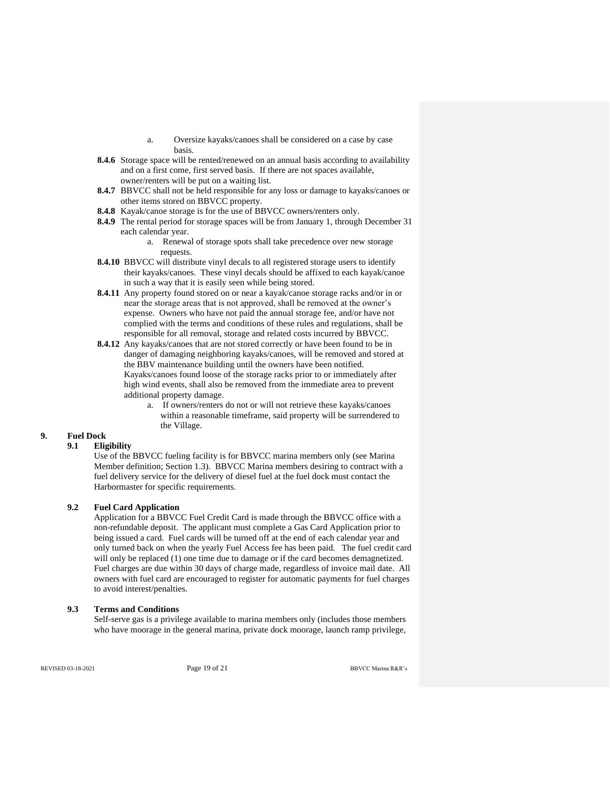- a. Oversize kayaks/canoes shall be considered on a case by case basis.
- **8.4.6** Storage space will be rented/renewed on an annual basis according to availability and on a first come, first served basis. If there are not spaces available, owner/renters will be put on a waiting list.
- **8.4.7** BBVCC shall not be held responsible for any loss or damage to kayaks/canoes or other items stored on BBVCC property.
- **8.4.8** Kayak/canoe storage is for the use of BBVCC owners/renters only.
- **8.4.9** The rental period for storage spaces will be from January 1, through December 31 each calendar year.
	- a. Renewal of storage spots shall take precedence over new storage requests.
- **8.4.10** BBVCC will distribute vinyl decals to all registered storage users to identify their kayaks/canoes. These vinyl decals should be affixed to each kayak/canoe in such a way that it is easily seen while being stored.
- **8.4.11** Any property found stored on or near a kayak/canoe storage racks and/or in or near the storage areas that is not approved, shall be removed at the owner's expense. Owners who have not paid the annual storage fee, and/or have not complied with the terms and conditions of these rules and regulations, shall be responsible for all removal, storage and related costs incurred by BBVCC.
- **8.4.12** Any kayaks/canoes that are not stored correctly or have been found to be in danger of damaging neighboring kayaks/canoes, will be removed and stored at the BBV maintenance building until the owners have been notified. Kayaks/canoes found loose of the storage racks prior to or immediately after high wind events, shall also be removed from the immediate area to prevent additional property damage.
	- a. If owners/renters do not or will not retrieve these kayaks/canoes within a reasonable timeframe, said property will be surrendered to the Village.

## **9. Fuel Dock**

### **9.1 Eligibility**

Use of the BBVCC fueling facility is for BBVCC marina members only (see Marina Member definition; Section 1.3). BBVCC Marina members desiring to contract with a fuel delivery service for the delivery of diesel fuel at the fuel dock must contact the Harbormaster for specific requirements.

### **9.2 Fuel Card Application**

Application for a BBVCC Fuel Credit Card is made through the BBVCC office with a non-refundable deposit. The applicant must complete a Gas Card Application prior to being issued a card. Fuel cards will be turned off at the end of each calendar year and only turned back on when the yearly Fuel Access fee has been paid. The fuel credit card will only be replaced (1) one time due to damage or if the card becomes demagnetized. Fuel charges are due within 30 days of charge made, regardless of invoice mail date. All owners with fuel card are encouraged to register for automatic payments for fuel charges to avoid interest/penalties.

### **9.3 Terms and Conditions**

Self-serve gas is a privilege available to marina members only (includes those members who have moorage in the general marina, private dock moorage, launch ramp privilege,

REVISED 03-18-2021 **Page 19 of 21 Page 19 of 21 BBVCC Marina R&R**'s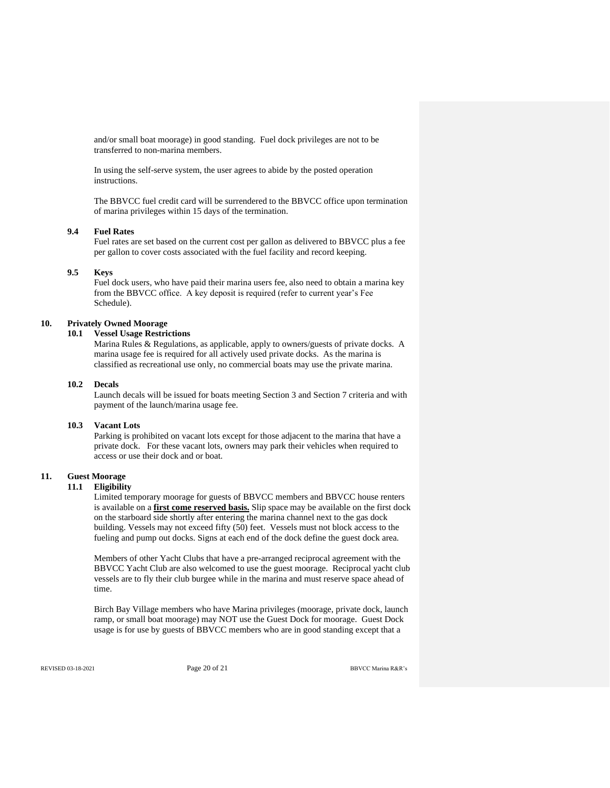and/or small boat moorage) in good standing. Fuel dock privileges are not to be transferred to non-marina members.

In using the self-serve system, the user agrees to abide by the posted operation instructions.

The BBVCC fuel credit card will be surrendered to the BBVCC office upon termination of marina privileges within 15 days of the termination.

### **9.4 Fuel Rates**

Fuel rates are set based on the current cost per gallon as delivered to BBVCC plus a fee per gallon to cover costs associated with the fuel facility and record keeping.

#### **9.5 Keys**

Fuel dock users, who have paid their marina users fee, also need to obtain a marina key from the BBVCC office. A key deposit is required (refer to current year's Fee Schedule).

## **10. Privately Owned Moorage**

### **10.1 Vessel Usage Restrictions**

Marina Rules & Regulations, as applicable, apply to owners/guests of private docks. A marina usage fee is required for all actively used private docks. As the marina is classified as recreational use only, no commercial boats may use the private marina.

#### **10.2 Decals**

Launch decals will be issued for boats meeting Section 3 and Section 7 criteria and with payment of the launch/marina usage fee.

### **10.3 Vacant Lots**

Parking is prohibited on vacant lots except for those adjacent to the marina that have a private dock. For these vacant lots, owners may park their vehicles when required to access or use their dock and or boat.

## **11. Guest Moorage**

## **11.1 Eligibility**

Limited temporary moorage for guests of BBVCC members and BBVCC house renters is available on a **first come reserved basis.** Slip space may be available on the first dock on the starboard side shortly after entering the marina channel next to the gas dock building. Vessels may not exceed fifty (50) feet. Vessels must not block access to the fueling and pump out docks. Signs at each end of the dock define the guest dock area.

Members of other Yacht Clubs that have a pre-arranged reciprocal agreement with the BBVCC Yacht Club are also welcomed to use the guest moorage. Reciprocal yacht club vessels are to fly their club burgee while in the marina and must reserve space ahead of time.

Birch Bay Village members who have Marina privileges (moorage, private dock, launch ramp, or small boat moorage) may NOT use the Guest Dock for moorage. Guest Dock usage is for use by guests of BBVCC members who are in good standing except that a

REVISED 03-18-2021 **Page 20 of 21 Page 20 of 21 BBVCC Marina R&R**'s